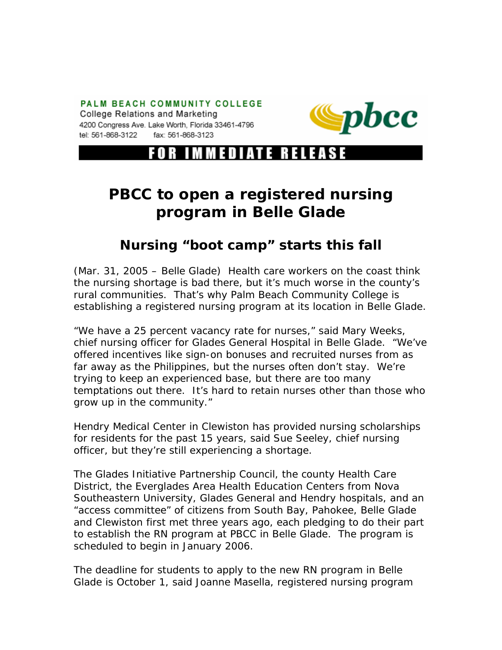PALM BEACH COMMUNITY COLLEGE College Relations and Marketing 4200 Congress Ave. Lake Worth, Florida 33461-4796 tel: 561-868-3122 fax: 561-868-3123



R IMMEDIATE RELEASE

## **PBCC to open a registered nursing program in Belle Glade**

## **Nursing "boot camp" starts this fall**

(Mar. 31, 2005 – Belle Glade) Health care workers on the coast think the nursing shortage is bad there, but it's much worse in the county's rural communities. That's why Palm Beach Community College is establishing a registered nursing program at its location in Belle Glade.

"We have a 25 percent vacancy rate for nurses," said Mary Weeks, chief nursing officer for Glades General Hospital in Belle Glade. "We've offered incentives like sign-on bonuses and recruited nurses from as far away as the Philippines, but the nurses often don't stay. We're trying to keep an experienced base, but there are too many temptations out there. It's hard to retain nurses other than those who grow up in the community."

Hendry Medical Center in Clewiston has provided nursing scholarships for residents for the past 15 years, said Sue Seeley, chief nursing officer, but they're still experiencing a shortage.

The Glades Initiative Partnership Council, the county Health Care District, the Everglades Area Health Education Centers from Nova Southeastern University, Glades General and Hendry hospitals, and an "access committee" of citizens from South Bay, Pahokee, Belle Glade and Clewiston first met three years ago, each pledging to do their part to establish the RN program at PBCC in Belle Glade. The program is scheduled to begin in January 2006.

The deadline for students to apply to the new RN program in Belle Glade is October 1, said Joanne Masella, registered nursing program